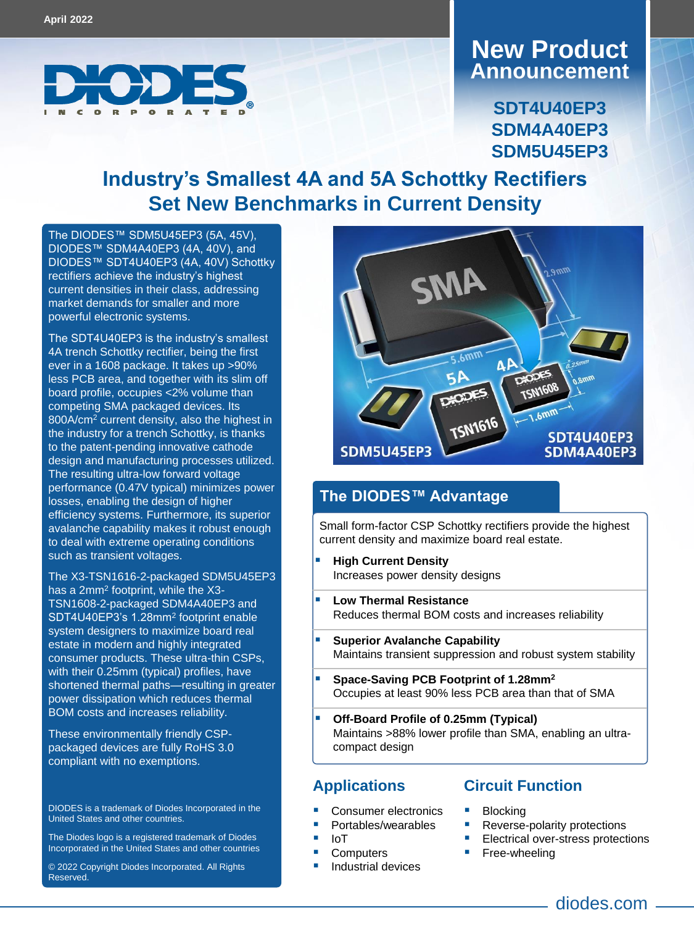

## **Announcement New Product**

**SDT4U40EP3 SDM4A40EP3 SDM5U45EP3**

## **Industry's Smallest 4A and 5A Schottky Rectifiers Set New Benchmarks in Current Density**

The DIODES[™ SDM5U45EP3](https://www.diodes.com/part/view/SDM5U45EP3) (5A, 45V), DIODES[™ SDM4A40EP3](https://www.diodes.com/part/view/SDM4A40EP3) (4A, 40V), and DIODES[™ SDT4U40EP3](https://www.diodes.com/part/view/SDT4U40EP3) (4A, 40V) Schottky rectifiers achieve the industry's highest current densities in their class, addressing market demands for smaller and more powerful electronic systems.

The SDT4U40EP3 is the industry's smallest 4A trench Schottky rectifier, being the first ever in a 1608 package. It takes up >90% less PCB area, and together with its slim off board profile, occupies <2% volume than competing SMA packaged devices. Its 800A/cm<sup>2</sup> current density, also the highest in the industry for a trench Schottky, is thanks to the patent-pending innovative cathode design and manufacturing processes utilized. The resulting ultra-low forward voltage performance (0.47V typical) minimizes power losses, enabling the design of higher efficiency systems. Furthermore, its superior avalanche capability makes it robust enough to deal with extreme operating conditions such as transient voltages.

The X3-TSN1616-2-packaged SDM5U45EP3 has a 2mm<sup>2</sup> footprint, while the X3-TSN1608-2-packaged SDM4A40EP3 and SDT4U40EP3's 1.28mm<sup>2</sup> footprint enable system designers to maximize board real estate in modern and highly integrated consumer products. These ultra-thin CSPs, with their 0.25mm (typical) profiles, have shortened thermal paths—resulting in greater power dissipation which reduces thermal BOM costs and increases reliability.

These environmentally friendly CSPpackaged devices are fully RoHS 3.0 compliant with no exemptions.

DIODES is a trademark of Diodes Incorporated in the United States and other countries.

The Diodes logo is a registered trademark of Diodes Incorporated in the United States and other countries

© 2022 Copyright Diodes Incorporated. All Rights Reserved.



### **The DIODES™ Advantage**

Small form-factor CSP Schottky rectifiers provide the highest current density and maximize board real estate.

- **High Current Density** Increases power density designs
- **Low Thermal Resistance**  Reduces thermal BOM costs and increases reliability
- **Superior Avalanche Capability** Maintains transient suppression and robust system stability
- **Space-Saving PCB Footprint of 1.28mm<sup>2</sup>** Occupies at least 90% less PCB area than that of SMA
- **Off-Board Profile of 0.25mm (Typical)** Maintains >88% lower profile than SMA, enabling an ultracompact design

- Consumer electronics
- Portables/wearables
- IoT
- **Computers**
- Industrial devices

#### **Applications Circuit Function**

- **Blocking**
- Reverse-polarity protections
- Electrical over-stress protections
- Free-wheeling
	- diodes.com